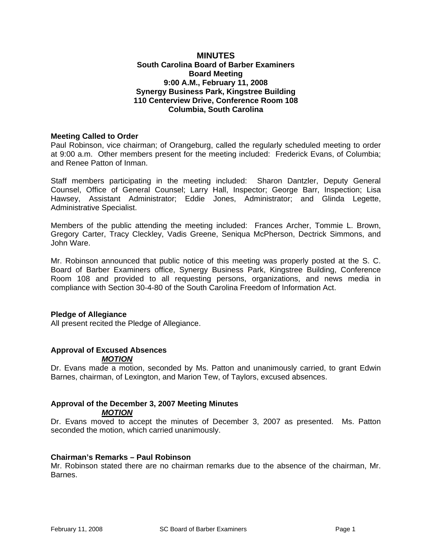#### **MINUTES South Carolina Board of Barber Examiners Board Meeting 9:00 A.M., February 11, 2008 Synergy Business Park, Kingstree Building 110 Centerview Drive, Conference Room 108 Columbia, South Carolina**

#### **Meeting Called to Order**

Paul Robinson, vice chairman; of Orangeburg, called the regularly scheduled meeting to order at 9:00 a.m. Other members present for the meeting included: Frederick Evans, of Columbia; and Renee Patton of Inman.

Staff members participating in the meeting included: Sharon Dantzler, Deputy General Counsel, Office of General Counsel; Larry Hall, Inspector; George Barr, Inspection; Lisa Hawsey, Assistant Administrator; Eddie Jones, Administrator; and Glinda Legette, Administrative Specialist.

Members of the public attending the meeting included: Frances Archer, Tommie L. Brown, Gregory Carter, Tracy Cleckley, Vadis Greene, Seniqua McPherson, Dectrick Simmons, and John Ware.

Mr. Robinson announced that public notice of this meeting was properly posted at the S. C. Board of Barber Examiners office, Synergy Business Park, Kingstree Building, Conference Room 108 and provided to all requesting persons, organizations, and news media in compliance with Section 30-4-80 of the South Carolina Freedom of Information Act.

#### **Pledge of Allegiance**

All present recited the Pledge of Allegiance.

# **Approval of Excused Absences**

#### *MOTION*

Dr. Evans made a motion, seconded by Ms. Patton and unanimously carried, to grant Edwin Barnes, chairman, of Lexington, and Marion Tew, of Taylors, excused absences.

# **Approval of the December 3, 2007 Meeting Minutes**

*MOTION*

Dr. Evans moved to accept the minutes of December 3, 2007 as presented. Ms. Patton seconded the motion, which carried unanimously.

#### **Chairman's Remarks – Paul Robinson**

Mr. Robinson stated there are no chairman remarks due to the absence of the chairman, Mr. Barnes.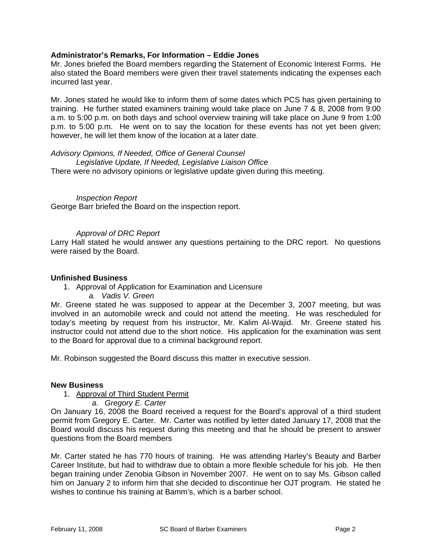#### **Administrator's Remarks, For Information – Eddie Jones**

Mr. Jones briefed the Board members regarding the Statement of Economic Interest Forms. He also stated the Board members were given their travel statements indicating the expenses each incurred last year.

Mr. Jones stated he would like to inform them of some dates which PCS has given pertaining to training. He further stated examiners training would take place on June 7 & 8, 2008 from 9:00 a.m. to 5:00 p.m. on both days and school overview training will take place on June 9 from 1:00 p.m. to 5:00 p.m. He went on to say the location for these events has not yet been given; however, he will let them know of the location at a later date.

#### *Advisory Opinions, If Needed, Office of General Counsel*

*Legislative Update, If Needed, Legislative Liaison Office*  There were no advisory opinions or legislative update given during this meeting.

# *Inspection Report*

George Barr briefed the Board on the inspection report.

#### *Approval of DRC Report*

Larry Hall stated he would answer any questions pertaining to the DRC report. No questions were raised by the Board.

#### **Unfinished Business**

- 1. Approval of Application for Examination and Licensure
	- *a. Vadis V. Green*

Mr. Greene stated he was supposed to appear at the December 3, 2007 meeting, but was involved in an automobile wreck and could not attend the meeting. He was rescheduled for today's meeting by request from his instructor, Mr. Kalim Al-Wajid. Mr. Greene stated his instructor could not attend due to the short notice. His application for the examination was sent to the Board for approval due to a criminal background report.

Mr. Robinson suggested the Board discuss this matter in executive session.

#### **New Business**

#### 1. Approval of Third Student Permit

*a. Gregory E. Carter* 

On January 16, 2008 the Board received a request for the Board's approval of a third student permit from Gregory E. Carter. Mr. Carter was notified by letter dated January 17, 2008 that the Board would discuss his request during this meeting and that he should be present to answer questions from the Board members

Mr. Carter stated he has 770 hours of training. He was attending Harley's Beauty and Barber Career Institute, but had to withdraw due to obtain a more flexible schedule for his job. He then began training under Zenobia Gibson in November 2007. He went on to say Ms. Gibson called him on January 2 to inform him that she decided to discontinue her OJT program. He stated he wishes to continue his training at Bamm's, which is a barber school.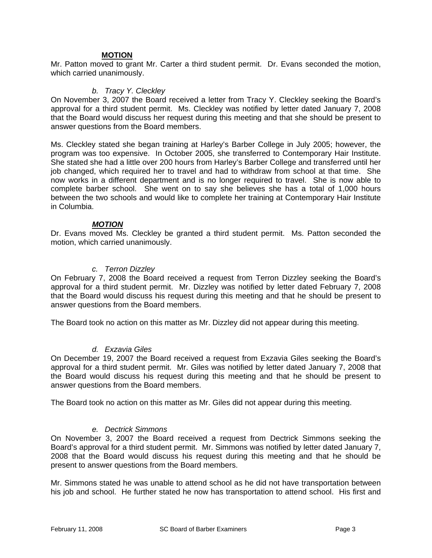#### **MOTION**

Mr. Patton moved to grant Mr. Carter a third student permit. Dr. Evans seconded the motion, which carried unanimously.

#### *b. Tracy Y. Cleckley*

On November 3, 2007 the Board received a letter from Tracy Y. Cleckley seeking the Board's approval for a third student permit. Ms. Cleckley was notified by letter dated January 7, 2008 that the Board would discuss her request during this meeting and that she should be present to answer questions from the Board members.

Ms. Cleckley stated she began training at Harley's Barber College in July 2005; however, the program was too expensive. In October 2005, she transferred to Contemporary Hair Institute. She stated she had a little over 200 hours from Harley's Barber College and transferred until her job changed, which required her to travel and had to withdraw from school at that time. She now works in a different department and is no longer required to travel. She is now able to complete barber school. She went on to say she believes she has a total of 1,000 hours between the two schools and would like to complete her training at Contemporary Hair Institute in Columbia.

#### *MOTION*

Dr. Evans moved Ms. Cleckley be granted a third student permit. Ms. Patton seconded the motion, which carried unanimously.

#### *c. Terron Dizzley*

On February 7, 2008 the Board received a request from Terron Dizzley seeking the Board's approval for a third student permit. Mr. Dizzley was notified by letter dated February 7, 2008 that the Board would discuss his request during this meeting and that he should be present to answer questions from the Board members.

The Board took no action on this matter as Mr. Dizzley did not appear during this meeting.

# *d. Exzavia Giles*

On December 19, 2007 the Board received a request from Exzavia Giles seeking the Board's approval for a third student permit. Mr. Giles was notified by letter dated January 7, 2008 that the Board would discuss his request during this meeting and that he should be present to answer questions from the Board members.

The Board took no action on this matter as Mr. Giles did not appear during this meeting.

#### *e. Dectrick Simmons*

On November 3, 2007 the Board received a request from Dectrick Simmons seeking the Board's approval for a third student permit. Mr. Simmons was notified by letter dated January 7, 2008 that the Board would discuss his request during this meeting and that he should be present to answer questions from the Board members.

Mr. Simmons stated he was unable to attend school as he did not have transportation between his job and school. He further stated he now has transportation to attend school. His first and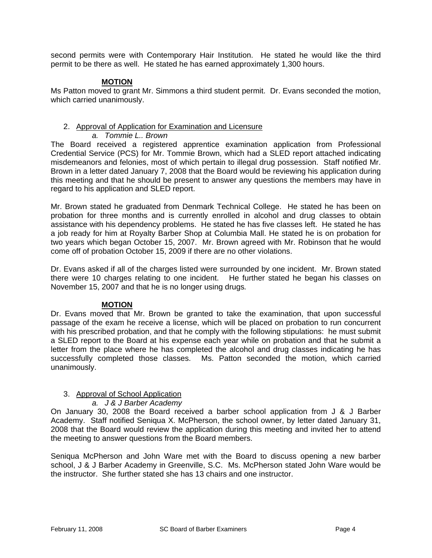second permits were with Contemporary Hair Institution. He stated he would like the third permit to be there as well. He stated he has earned approximately 1,300 hours.

#### **MOTION**

Ms Patton moved to grant Mr. Simmons a third student permit. Dr. Evans seconded the motion, which carried unanimously.

#### 2. Approval of Application for Examination and Licensure

*a. Tommie L.. Brown* 

The Board received a registered apprentice examination application from Professional Credential Service (PCS) for Mr. Tommie Brown, which had a SLED report attached indicating misdemeanors and felonies, most of which pertain to illegal drug possession. Staff notified Mr. Brown in a letter dated January 7, 2008 that the Board would be reviewing his application during this meeting and that he should be present to answer any questions the members may have in regard to his application and SLED report.

Mr. Brown stated he graduated from Denmark Technical College. He stated he has been on probation for three months and is currently enrolled in alcohol and drug classes to obtain assistance with his dependency problems. He stated he has five classes left. He stated he has a job ready for him at Royalty Barber Shop at Columbia Mall. He stated he is on probation for two years which began October 15, 2007. Mr. Brown agreed with Mr. Robinson that he would come off of probation October 15, 2009 if there are no other violations.

Dr. Evans asked if all of the charges listed were surrounded by one incident. Mr. Brown stated there were 10 charges relating to one incident. He further stated he began his classes on November 15, 2007 and that he is no longer using drugs*.*

# **MOTION**

Dr. Evans moved that Mr. Brown be granted to take the examination, that upon successful passage of the exam he receive a license, which will be placed on probation to run concurrent with his prescribed probation, and that he comply with the following stipulations: he must submit a SLED report to the Board at his expense each year while on probation and that he submit a letter from the place where he has completed the alcohol and drug classes indicating he has successfully completed those classes. Ms. Patton seconded the motion, which carried unanimously.

# 3. Approval of School Application

#### *a. J & J Barber Academy*

On January 30, 2008 the Board received a barber school application from J & J Barber Academy. Staff notified Seniqua X. McPherson, the school owner, by letter dated January 31, 2008 that the Board would review the application during this meeting and invited her to attend the meeting to answer questions from the Board members.

Seniqua McPherson and John Ware met with the Board to discuss opening a new barber school, J & J Barber Academy in Greenville, S.C. Ms. McPherson stated John Ware would be the instructor. She further stated she has 13 chairs and one instructor.